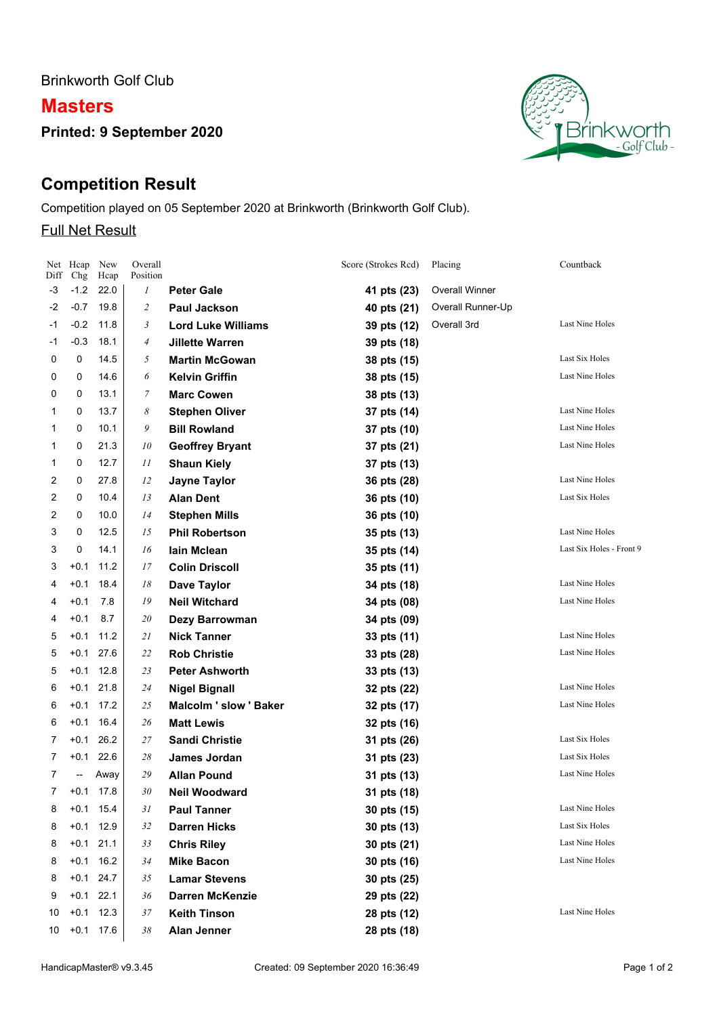Brinkworth Golf Club

## **Masters**

**Printed: 9 September 2020**

# **Competition Result**

Competition played on 05 September 2020 at Brinkworth (Brinkworth Golf Club).

### Full Net Result